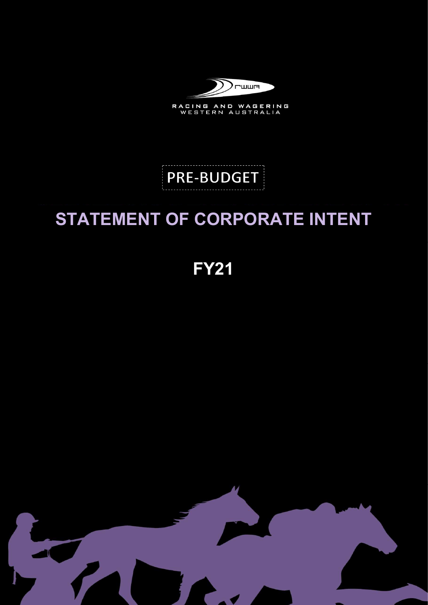

RACING AND WAGERING<br>WESTERN AUSTRALIA

# **PRE-BUDGET**

## STATEMENT OF CORPORATE INTENT

FY21

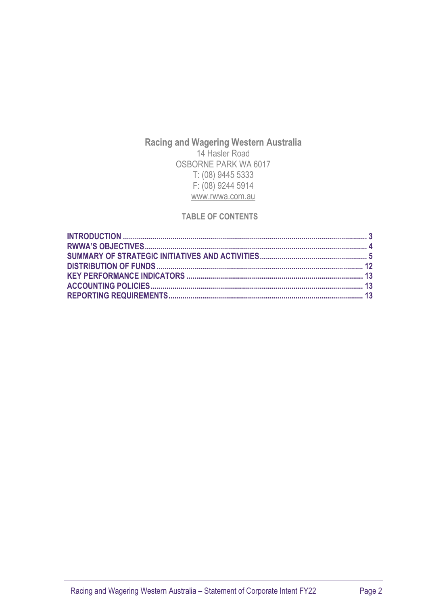### Racing and Wagering Western Australia 14 Hasler Road OSBORNE PARK WA 6017 T: (08) 9445 5333 F: (08) 9244 5914 www.rwwa.com.au

#### TABLE OF CONTENTS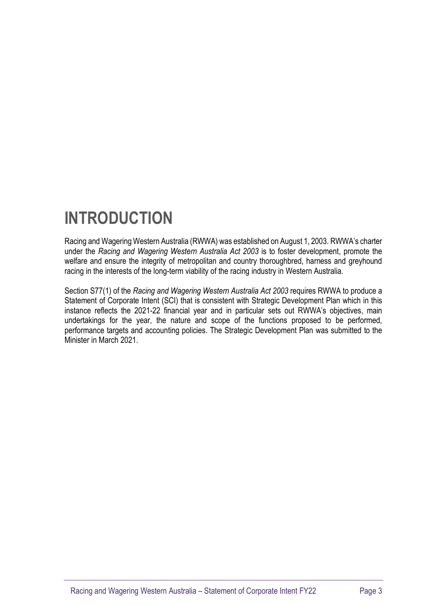## INTRODUCTION

Racing and Wagering Western Australia (RWWA) was established on August 1, 2003. RWWA's charter under the Racing and Wagering Western Australia Act 2003 is to foster development, promote the welfare and ensure the integrity of metropolitan and country thoroughbred, harness and greyhound racing in the interests of the long-term viability of the racing industry in Western Australia.

Section S77(1) of the Racing and Wagering Western Australia Act 2003 requires RWWA to produce a Statement of Corporate Intent (SCI) that is consistent with Strategic Development Plan which in this instance reflects the 2021-22 financial year and in particular sets out RWWA's objectives, main undertakings for the year, the nature and scope of the functions proposed to be performed, performance targets and accounting policies. The Strategic Development Plan was submitted to the Minister in March 2021.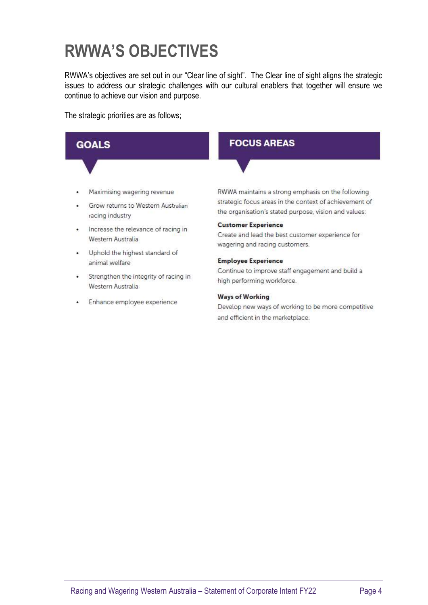## RWWA'S OBJECTIVES

RWWA's objectives are set out in our "Clear line of sight". The Clear line of sight aligns the strategic issues to address our strategic challenges with our cultural enablers that together will ensure we continue to achieve our vision and purpose.

The strategic priorities are as follows;

#### **FOCUS AREAS GOALS** Maximising wagering revenue RWWA maintains a strong emphasis on the following strategic focus areas in the context of achievement of Grow returns to Western Australian the organisation's stated purpose, vision and values: racing industry **Customer Experience** . Increase the relevance of racing in Create and lead the best customer experience for Western Australia wagering and racing customers. . Uphold the highest standard of **Employee Experience** animal welfare Continue to improve staff engagement and build a • Strengthen the integrity of racing in high performing workforce.

#### **Ways of Working**

Develop new ways of working to be more competitive and efficient in the marketplace.

- Western Australia
- Enhance employee experience  $\tilde{\bullet}$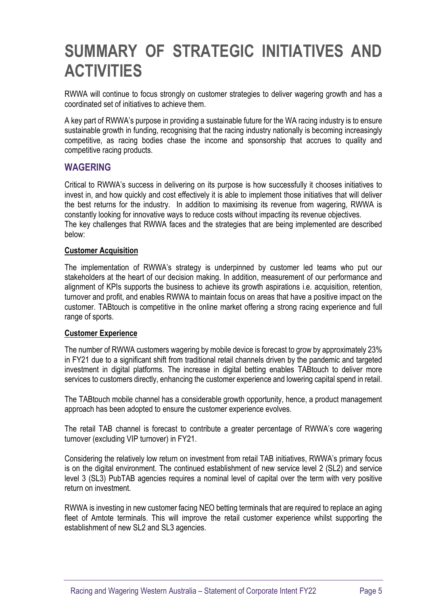## SUMMARY OF STRATEGIC INITIATIVES AND **ACTIVITIES**

RWWA will continue to focus strongly on customer strategies to deliver wagering growth and has a coordinated set of initiatives to achieve them.

A key part of RWWA's purpose in providing a sustainable future for the WA racing industry is to ensure sustainable growth in funding, recognising that the racing industry nationally is becoming increasingly competitive, as racing bodies chase the income and sponsorship that accrues to quality and competitive racing products.

### WAGERING

Critical to RWWA's success in delivering on its purpose is how successfully it chooses initiatives to invest in, and how quickly and cost effectively it is able to implement those initiatives that will deliver the best returns for the industry. In addition to maximising its revenue from wagering, RWWA is constantly looking for innovative ways to reduce costs without impacting its revenue objectives. The key challenges that RWWA faces and the strategies that are being implemented are described below:

#### Customer Acquisition

The implementation of RWWA's strategy is underpinned by customer led teams who put our stakeholders at the heart of our decision making. In addition, measurement of our performance and alignment of KPIs supports the business to achieve its growth aspirations i.e. acquisition, retention, turnover and profit, and enables RWWA to maintain focus on areas that have a positive impact on the customer. TABtouch is competitive in the online market offering a strong racing experience and full range of sports.

#### Customer Experience

The number of RWWA customers wagering by mobile device is forecast to grow by approximately 23% in FY21 due to a significant shift from traditional retail channels driven by the pandemic and targeted investment in digital platforms. The increase in digital betting enables TABtouch to deliver more services to customers directly, enhancing the customer experience and lowering capital spend in retail.

The TABtouch mobile channel has a considerable growth opportunity, hence, a product management approach has been adopted to ensure the customer experience evolves.

The retail TAB channel is forecast to contribute a greater percentage of RWWA's core wagering turnover (excluding VIP turnover) in FY21.

Considering the relatively low return on investment from retail TAB initiatives, RWWA's primary focus is on the digital environment. The continued establishment of new service level 2 (SL2) and service level 3 (SL3) PubTAB agencies requires a nominal level of capital over the term with very positive return on investment.

RWWA is investing in new customer facing NEO betting terminals that are required to replace an aging fleet of Amtote terminals. This will improve the retail customer experience whilst supporting the establishment of new SL2 and SL3 agencies.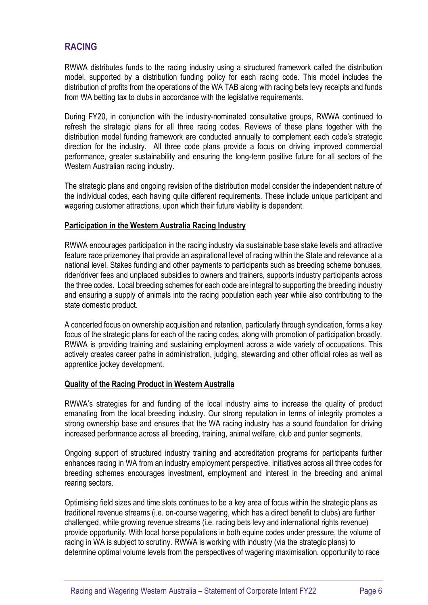### RACING

RWWA distributes funds to the racing industry using a structured framework called the distribution model, supported by a distribution funding policy for each racing code. This model includes the distribution of profits from the operations of the WA TAB along with racing bets levy receipts and funds from WA betting tax to clubs in accordance with the legislative requirements.

During FY20, in conjunction with the industry-nominated consultative groups, RWWA continued to refresh the strategic plans for all three racing codes. Reviews of these plans together with the distribution model funding framework are conducted annually to complement each code's strategic direction for the industry. All three code plans provide a focus on driving improved commercial performance, greater sustainability and ensuring the long-term positive future for all sectors of the Western Australian racing industry.

The strategic plans and ongoing revision of the distribution model consider the independent nature of the individual codes, each having quite different requirements. These include unique participant and wagering customer attractions, upon which their future viability is dependent.

#### Participation in the Western Australia Racing Industry

RWWA encourages participation in the racing industry via sustainable base stake levels and attractive feature race prizemoney that provide an aspirational level of racing within the State and relevance at a national level. Stakes funding and other payments to participants such as breeding scheme bonuses, rider/driver fees and unplaced subsidies to owners and trainers, supports industry participants across the three codes. Local breeding schemes for each code are integral to supporting the breeding industry and ensuring a supply of animals into the racing population each year while also contributing to the state domestic product.

A concerted focus on ownership acquisition and retention, particularly through syndication, forms a key focus of the strategic plans for each of the racing codes, along with promotion of participation broadly. RWWA is providing training and sustaining employment across a wide variety of occupations. This actively creates career paths in administration, judging, stewarding and other official roles as well as apprentice jockey development.

#### Quality of the Racing Product in Western Australia

RWWA's strategies for and funding of the local industry aims to increase the quality of product emanating from the local breeding industry. Our strong reputation in terms of integrity promotes a strong ownership base and ensures that the WA racing industry has a sound foundation for driving increased performance across all breeding, training, animal welfare, club and punter segments.

Ongoing support of structured industry training and accreditation programs for participants further enhances racing in WA from an industry employment perspective. Initiatives across all three codes for breeding schemes encourages investment, employment and interest in the breeding and animal rearing sectors.

Optimising field sizes and time slots continues to be a key area of focus within the strategic plans as traditional revenue streams (i.e. on-course wagering, which has a direct benefit to clubs) are further challenged, while growing revenue streams (i.e. racing bets levy and international rights revenue) provide opportunity. With local horse populations in both equine codes under pressure, the volume of racing in WA is subject to scrutiny. RWWA is working with industry (via the strategic plans) to determine optimal volume levels from the perspectives of wagering maximisation, opportunity to race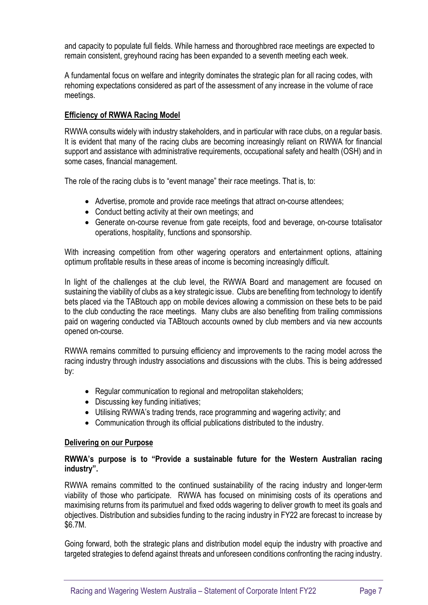and capacity to populate full fields. While harness and thoroughbred race meetings are expected to remain consistent, greyhound racing has been expanded to a seventh meeting each week.

A fundamental focus on welfare and integrity dominates the strategic plan for all racing codes, with rehoming expectations considered as part of the assessment of any increase in the volume of race meetings.

#### Efficiency of RWWA Racing Model

RWWA consults widely with industry stakeholders, and in particular with race clubs, on a regular basis. It is evident that many of the racing clubs are becoming increasingly reliant on RWWA for financial support and assistance with administrative requirements, occupational safety and health (OSH) and in some cases, financial management.

The role of the racing clubs is to "event manage" their race meetings. That is, to:

- Advertise, promote and provide race meetings that attract on-course attendees;
- Conduct betting activity at their own meetings; and
- Generate on-course revenue from gate receipts, food and beverage, on-course totalisator operations, hospitality, functions and sponsorship.

With increasing competition from other wagering operators and entertainment options, attaining optimum profitable results in these areas of income is becoming increasingly difficult.

In light of the challenges at the club level, the RWWA Board and management are focused on sustaining the viability of clubs as a key strategic issue. Clubs are benefiting from technology to identify bets placed via the TABtouch app on mobile devices allowing a commission on these bets to be paid to the club conducting the race meetings. Many clubs are also benefiting from trailing commissions paid on wagering conducted via TABtouch accounts owned by club members and via new accounts opened on-course.

RWWA remains committed to pursuing efficiency and improvements to the racing model across the racing industry through industry associations and discussions with the clubs. This is being addressed by:

- Regular communication to regional and metropolitan stakeholders;
- Discussing key funding initiatives;
- Utilising RWWA's trading trends, race programming and wagering activity; and
- Communication through its official publications distributed to the industry.

#### Delivering on our Purpose

#### RWWA's purpose is to "Provide a sustainable future for the Western Australian racing industry".

RWWA remains committed to the continued sustainability of the racing industry and longer-term viability of those who participate. RWWA has focused on minimising costs of its operations and maximising returns from its parimutuel and fixed odds wagering to deliver growth to meet its goals and objectives. Distribution and subsidies funding to the racing industry in FY22 are forecast to increase by \$6.7M.

Going forward, both the strategic plans and distribution model equip the industry with proactive and targeted strategies to defend against threats and unforeseen conditions confronting the racing industry.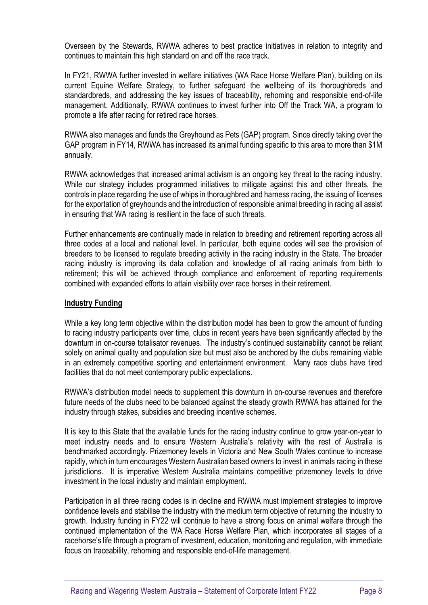Overseen by the Stewards, RWWA adheres to best practice initiatives in relation to integrity and continues to maintain this high standard on and off the race track.

In FY21, RWWA further invested in welfare initiatives (WA Race Horse Welfare Plan), building on its current Equine Welfare Strategy, to further safeguard the wellbeing of its thoroughbreds and standardbreds, and addressing the key issues of traceability, rehoming and responsible end-of-life management. Additionally, RWWA continues to invest further into Off the Track WA, a program to promote a life after racing for retired race horses.

RWWA also manages and funds the Greyhound as Pets (GAP) program. Since directly taking over the GAP program in FY14, RWWA has increased its animal funding specific to this area to more than \$1M annually.

RWWA acknowledges that increased animal activism is an ongoing key threat to the racing industry. While our strategy includes programmed initiatives to mitigate against this and other threats, the controls in place regarding the use of whips in thoroughbred and harness racing, the issuing of licenses for the exportation of greyhounds and the introduction of responsible animal breeding in racing all assist in ensuring that WA racing is resilient in the face of such threats.

Further enhancements are continually made in relation to breeding and retirement reporting across all three codes at a local and national level. In particular, both equine codes will see the provision of breeders to be licensed to regulate breeding activity in the racing industry in the State. The broader racing industry is improving its data collation and knowledge of all racing animals from birth to retirement; this will be achieved through compliance and enforcement of reporting requirements combined with expanded efforts to attain visibility over race horses in their retirement.

#### Industry Funding

While a key long term objective within the distribution model has been to grow the amount of funding to racing industry participants over time, clubs in recent years have been significantly affected by the downturn in on-course totalisator revenues. The industry's continued sustainability cannot be reliant solely on animal quality and population size but must also be anchored by the clubs remaining viable in an extremely competitive sporting and entertainment environment. Many race clubs have tired facilities that do not meet contemporary public expectations.

RWWA's distribution model needs to supplement this downturn in on-course revenues and therefore future needs of the clubs need to be balanced against the steady growth RWWA has attained for the industry through stakes, subsidies and breeding incentive schemes.

It is key to this State that the available funds for the racing industry continue to grow year-on-year to meet industry needs and to ensure Western Australia's relativity with the rest of Australia is benchmarked accordingly. Prizemoney levels in Victoria and New South Wales continue to increase rapidly, which in turn encourages Western Australian based owners to invest in animals racing in these jurisdictions. It is imperative Western Australia maintains competitive prizemoney levels to drive investment in the local industry and maintain employment.

Participation in all three racing codes is in decline and RWWA must implement strategies to improve confidence levels and stabilise the industry with the medium term objective of returning the industry to growth. Industry funding in FY22 will continue to have a strong focus on animal welfare through the continued implementation of the WA Race Horse Welfare Plan, which incorporates all stages of a racehorse's life through a program of investment, education, monitoring and regulation, with immediate focus on traceability, rehoming and responsible end-of-life management.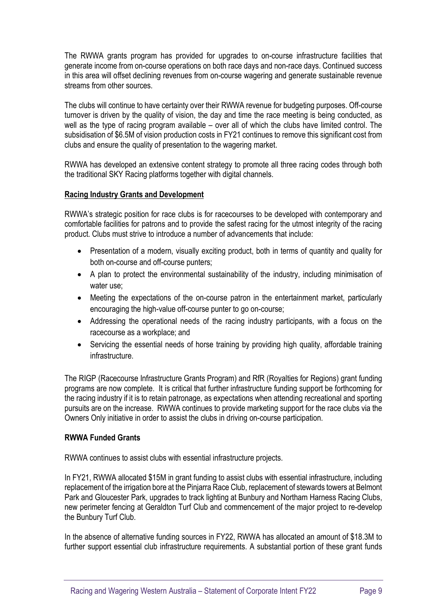The RWWA grants program has provided for upgrades to on-course infrastructure facilities that generate income from on-course operations on both race days and non-race days. Continued success in this area will offset declining revenues from on-course wagering and generate sustainable revenue streams from other sources.

The clubs will continue to have certainty over their RWWA revenue for budgeting purposes. Off-course turnover is driven by the quality of vision, the day and time the race meeting is being conducted, as well as the type of racing program available – over all of which the clubs have limited control. The subsidisation of \$6.5M of vision production costs in FY21 continues to remove this significant cost from clubs and ensure the quality of presentation to the wagering market.

RWWA has developed an extensive content strategy to promote all three racing codes through both the traditional SKY Racing platforms together with digital channels.

#### Racing Industry Grants and Development

RWWA's strategic position for race clubs is for racecourses to be developed with contemporary and comfortable facilities for patrons and to provide the safest racing for the utmost integrity of the racing product. Clubs must strive to introduce a number of advancements that include:

- Presentation of a modern, visually exciting product, both in terms of quantity and quality for both on-course and off-course punters;
- A plan to protect the environmental sustainability of the industry, including minimisation of water use;
- Meeting the expectations of the on-course patron in the entertainment market, particularly encouraging the high-value off-course punter to go on-course;
- Addressing the operational needs of the racing industry participants, with a focus on the racecourse as a workplace; and
- Servicing the essential needs of horse training by providing high quality, affordable training infrastructure.

The RIGP (Racecourse Infrastructure Grants Program) and RfR (Royalties for Regions) grant funding programs are now complete. It is critical that further infrastructure funding support be forthcoming for the racing industry if it is to retain patronage, as expectations when attending recreational and sporting pursuits are on the increase. RWWA continues to provide marketing support for the race clubs via the Owners Only initiative in order to assist the clubs in driving on-course participation.

#### RWWA Funded Grants

RWWA continues to assist clubs with essential infrastructure projects.

In FY21, RWWA allocated \$15M in grant funding to assist clubs with essential infrastructure, including replacement of the irrigation bore at the Pinjarra Race Club, replacement of stewards towers at Belmont Park and Gloucester Park, upgrades to track lighting at Bunbury and Northam Harness Racing Clubs, new perimeter fencing at Geraldton Turf Club and commencement of the major project to re-develop the Bunbury Turf Club.

In the absence of alternative funding sources in FY22, RWWA has allocated an amount of \$18.3M to further support essential club infrastructure requirements. A substantial portion of these grant funds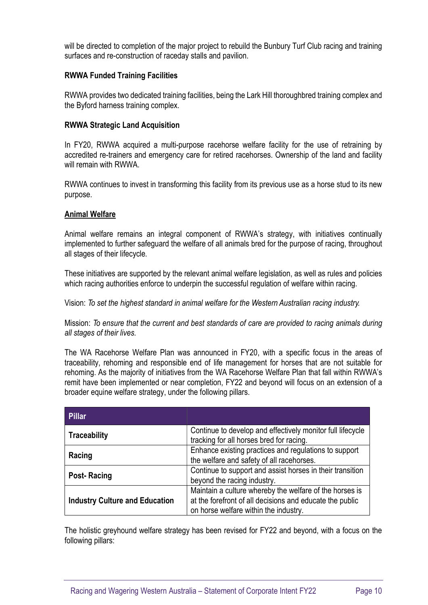will be directed to completion of the major project to rebuild the Bunbury Turf Club racing and training surfaces and re-construction of raceday stalls and pavilion.

#### RWWA Funded Training Facilities

RWWA provides two dedicated training facilities, being the Lark Hill thoroughbred training complex and the Byford harness training complex.

#### RWWA Strategic Land Acquisition

In FY20, RWWA acquired a multi-purpose racehorse welfare facility for the use of retraining by accredited re-trainers and emergency care for retired racehorses. Ownership of the land and facility will remain with RWWA.

RWWA continues to invest in transforming this facility from its previous use as a horse stud to its new purpose.

#### Animal Welfare

Animal welfare remains an integral component of RWWA's strategy, with initiatives continually implemented to further safeguard the welfare of all animals bred for the purpose of racing, throughout all stages of their lifecycle.

These initiatives are supported by the relevant animal welfare legislation, as well as rules and policies which racing authorities enforce to underpin the successful regulation of welfare within racing.

Vision: To set the highest standard in animal welfare for the Western Australian racing industry.

Mission: To ensure that the current and best standards of care are provided to racing animals during all stages of their lives.

The WA Racehorse Welfare Plan was announced in FY20, with a specific focus in the areas of traceability, rehoming and responsible end of life management for horses that are not suitable for rehoming. As the majority of initiatives from the WA Racehorse Welfare Plan that fall within RWWA's remit have been implemented or near completion, FY22 and beyond will focus on an extension of a broader equine welfare strategy, under the following pillars.

| Pillar                                |                                                                                                                                                              |
|---------------------------------------|--------------------------------------------------------------------------------------------------------------------------------------------------------------|
| <b>Traceability</b>                   | Continue to develop and effectively monitor full lifecycle<br>tracking for all horses bred for racing.                                                       |
| Racing                                | Enhance existing practices and regulations to support<br>the welfare and safety of all racehorses.                                                           |
| <b>Post-Racing</b>                    | Continue to support and assist horses in their transition<br>beyond the racing industry.                                                                     |
| <b>Industry Culture and Education</b> | Maintain a culture whereby the welfare of the horses is<br>at the forefront of all decisions and educate the public<br>on horse welfare within the industry. |

The holistic greyhound welfare strategy has been revised for FY22 and beyond, with a focus on the following pillars: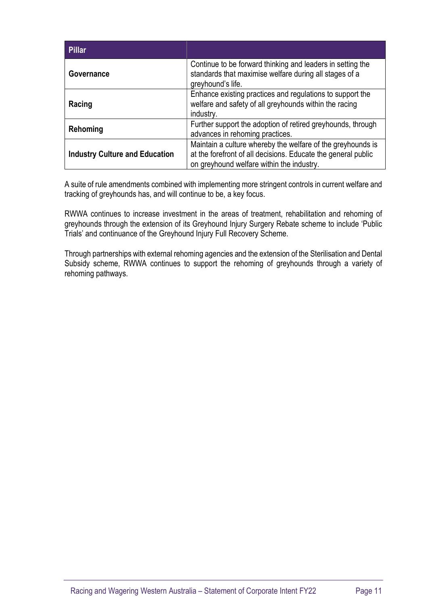| <b>Pillar</b>                         |                                                                                                                                                                           |
|---------------------------------------|---------------------------------------------------------------------------------------------------------------------------------------------------------------------------|
| Governance                            | Continue to be forward thinking and leaders in setting the<br>standards that maximise welfare during all stages of a<br>greyhound's life.                                 |
| Racing                                | Enhance existing practices and regulations to support the<br>welfare and safety of all greyhounds within the racing<br>industry.                                          |
| Rehoming                              | Further support the adoption of retired greyhounds, through<br>advances in rehoming practices.                                                                            |
| <b>Industry Culture and Education</b> | Maintain a culture whereby the welfare of the greyhounds is<br>at the forefront of all decisions. Educate the general public<br>on greyhound welfare within the industry. |

A suite of rule amendments combined with implementing more stringent controls in current welfare and tracking of greyhounds has, and will continue to be, a key focus.

RWWA continues to increase investment in the areas of treatment, rehabilitation and rehoming of greyhounds through the extension of its Greyhound Injury Surgery Rebate scheme to include 'Public Trials' and continuance of the Greyhound Injury Full Recovery Scheme.

Through partnerships with external rehoming agencies and the extension of the Sterilisation and Dental Subsidy scheme, RWWA continues to support the rehoming of greyhounds through a variety of rehoming pathways.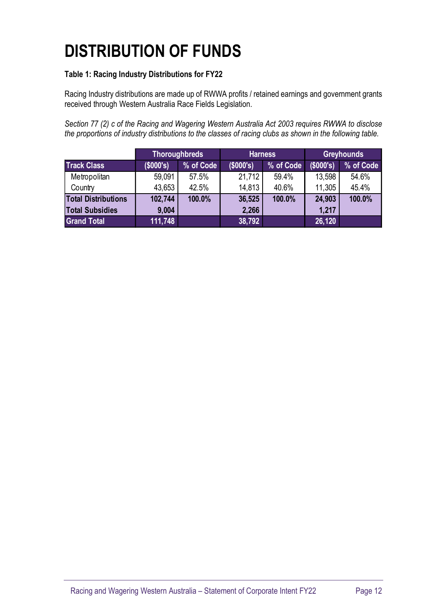# DISTRIBUTION OF FUNDS

### Table 1: Racing Industry Distributions for FY22

| <b>DISTRIBUTION OF FUNDS</b>                                                                                                                                                                                  |                        |                                   |                     |           |                     |                                |
|---------------------------------------------------------------------------------------------------------------------------------------------------------------------------------------------------------------|------------------------|-----------------------------------|---------------------|-----------|---------------------|--------------------------------|
|                                                                                                                                                                                                               |                        |                                   |                     |           |                     |                                |
| Table 1: Racing Industry Distributions for FY22                                                                                                                                                               |                        |                                   |                     |           |                     |                                |
| Racing Industry distributions are made up of RWWA profits / retained earnings and government grants                                                                                                           |                        |                                   |                     |           |                     |                                |
|                                                                                                                                                                                                               |                        |                                   |                     |           |                     |                                |
| received through Western Australia Race Fields Legislation.                                                                                                                                                   |                        |                                   |                     |           |                     |                                |
|                                                                                                                                                                                                               |                        |                                   |                     |           |                     |                                |
| Section 77 (2) c of the Racing and Wagering Western Australia Act 2003 requires RWWA to disclose<br>the proportions of industry distributions to the classes of racing clubs as shown in the following table. |                        |                                   |                     |           |                     |                                |
|                                                                                                                                                                                                               |                        |                                   |                     |           |                     |                                |
| <b>Track Class</b>                                                                                                                                                                                            |                        | <b>Thoroughbreds</b><br>% of Code | <b>Harness</b>      | % of Code |                     | <b>Greyhounds</b><br>% of Code |
| Metropolitan                                                                                                                                                                                                  | $($ \$000's)<br>59,091 | 57.5%                             | (\$000's)<br>21,712 | 59.4%     | (\$000's)<br>13,598 | 54.6%                          |
| Country                                                                                                                                                                                                       | 43,653                 | 42.5%                             | 14,813              | 40.6%     | 11,305              | 45.4%                          |
| <b>Total Distributions</b>                                                                                                                                                                                    | 102,744                | 100.0%                            | 36,525              | 100.0%    | 24,903              | 100.0%                         |
| <b>Total Subsidies</b><br><b>Grand Total</b>                                                                                                                                                                  | 9,004<br>111,748       |                                   | 2,266<br>38,792     |           | 1,217<br>26,120     |                                |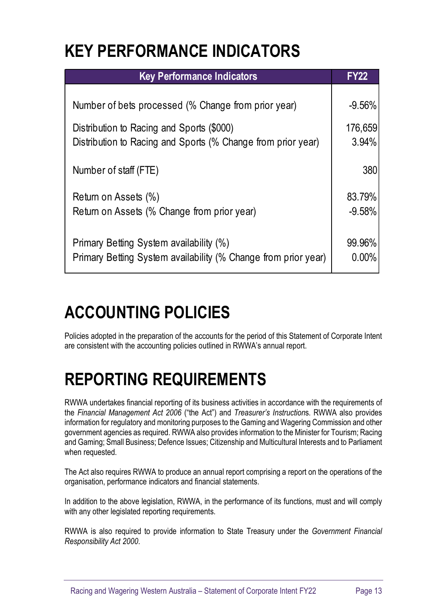## KEY PERFORMANCE INDICATORS

| <b>KEY PERFORMANCE INDICATORS</b><br><b>Key Performance Indicators</b>                                    |                     |
|-----------------------------------------------------------------------------------------------------------|---------------------|
|                                                                                                           |                     |
|                                                                                                           | <b>FY22</b>         |
| Number of bets processed (% Change from prior year)                                                       | $-9.56%$            |
| Distribution to Racing and Sports (\$000)<br>Distribution to Racing and Sports (% Change from prior year) | 176,659<br>$3.94\%$ |
| Number of staff (FTE)                                                                                     | 380                 |
| Return on Assets (%)                                                                                      | 83.79%              |
| Return on Assets (% Change from prior year)                                                               | $-9.58%$            |
| Primary Betting System availability (%)                                                                   | 99.96%              |
| Primary Betting System availability (% Change from prior year)                                            | 0.00%               |

# ACCOUNTING POLICIES

Policies adopted in the preparation of the accounts for the period of this Statement of Corporate Intent are consistent with the accounting policies outlined in RWWA's annual report.

# REPORTING REQUIREMENTS

RWWA undertakes financial reporting of its business activities in accordance with the requirements of the Financial Management Act 2006 ("the Act") and Treasurer's Instructions. RWWA also provides information for regulatory and monitoring purposes to the Gaming and Wagering Commission and other government agencies as required. RWWA also provides information to the Minister for Tourism; Racing and Gaming; Small Business; Defence Issues; Citizenship and Multicultural Interests and to Parliament when requested.

The Act also requires RWWA to produce an annual report comprising a report on the operations of the organisation, performance indicators and financial statements.

In addition to the above legislation, RWWA, in the performance of its functions, must and will comply with any other legislated reporting requirements.

RWWA is also required to provide information to State Treasury under the Government Financial Responsibility Act 2000.